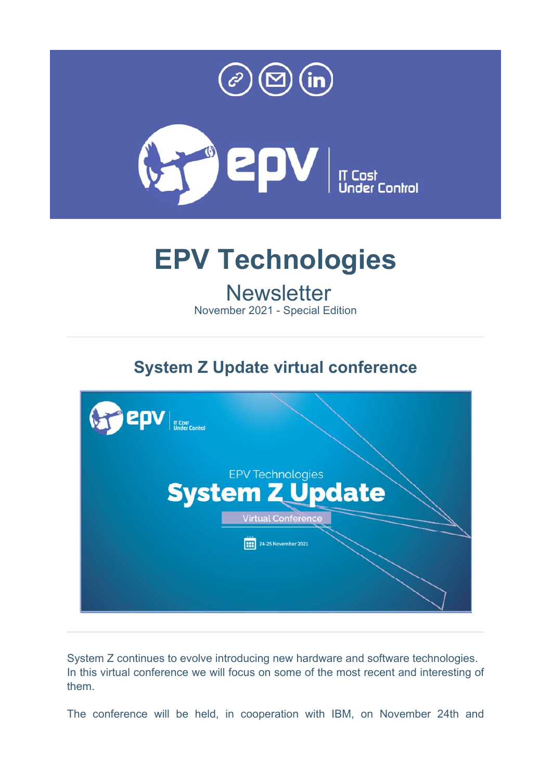



# **EPV Technologies**

# **Newsletter**

November 2021 - Special Edition

## **System Z Update virtual conference**



System Z continues to evolve introducing new hardware and software technologies. In this virtual conference we will focus on some of the most recent and interesting of them.

The conference will be held, in cooperation with IBM, on November 24th and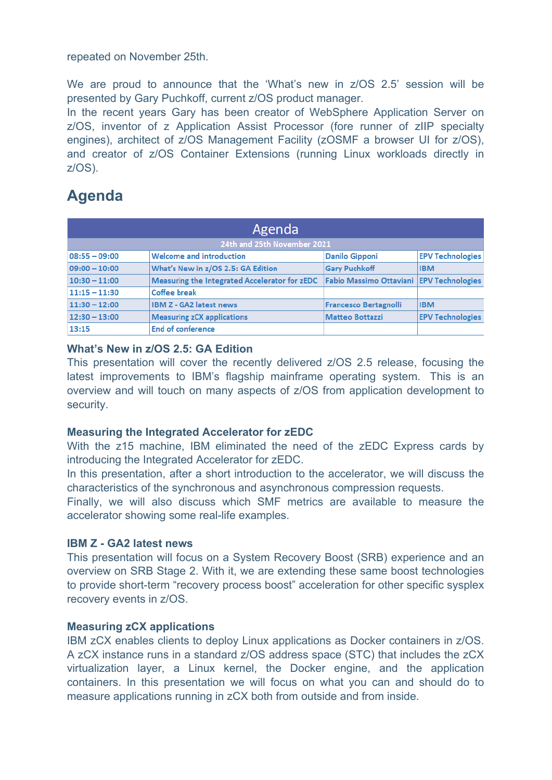repeated on November 25th.

We are proud to announce that the 'What's new in z/OS 2.5' session will be presented by Gary Puchkoff, current z/OS product manager.

In the recent years Gary has been creator of WebSphere Application Server on z/OS, inventor of z Application Assist Processor (fore runner of zIIP specialty engines), architect of z/OS Management Facility (zOSMF a browser UI for z/OS), and creator of z/OS Container Extensions (running Linux workloads directly in z/OS).

### **Agenda**

| Agenda                      |                                               |                                          |                         |
|-----------------------------|-----------------------------------------------|------------------------------------------|-------------------------|
| 24th and 25th November 2021 |                                               |                                          |                         |
| $08:55 - 09:00$             | <b>Welcome and introduction</b>               | <b>Danilo Gipponi</b>                    | <b>EPV Technologies</b> |
| $09:00 - 10:00$             | What's New in z/OS 2.5: GA Edition            | <b>Gary Puchkoff</b>                     | <b>IBM</b>              |
| $10:30 - 11:00$             | Measuring the Integrated Accelerator for zEDC | Fabio Massimo Ottaviani EPV Technologies |                         |
| $11:15 - 11:30$             | Coffee break                                  |                                          |                         |
| $11:30 - 12:00$             | <b>IBM Z - GA2 latest news</b>                | <b>Francesco Bertagnolli</b>             | <b>IBM</b>              |
| $12:30 - 13:00$             | <b>Measuring zCX applications</b>             | <b>Matteo Bottazzi</b>                   | <b>EPV Technologies</b> |
| 13:15                       | <b>End of conference</b>                      |                                          |                         |

#### **What's New in z/OS 2.5: GA Edition**

This presentation will cover the recently delivered z/OS 2.5 release, focusing the latest improvements to IBM's flagship mainframe operating system. This is an overview and will touch on many aspects of z/OS from application development to security.

#### **Measuring the Integrated Accelerator for zEDC**

With the z15 machine, IBM eliminated the need of the zEDC Express cards by introducing the Integrated Accelerator for zEDC.

In this presentation, after a short introduction to the accelerator, we will discuss the characteristics of the synchronous and asynchronous compression requests.

Finally, we will also discuss which SMF metrics are available to measure the accelerator showing some real-life examples.

#### **IBM Z - GA2 latest news**

This presentation will focus on a System Recovery Boost (SRB) experience and an overview on SRB Stage 2. With it, we are extending these same boost technologies to provide short-term "recovery process boost" acceleration for other specific sysplex recovery events in z/OS.

#### **Measuring zCX applications**

IBM zCX enables clients to deploy Linux applications as Docker containers in z/OS. A zCX instance runs in a standard z/OS address space (STC) that includes the zCX virtualization layer, a Linux kernel, the Docker engine, and the application containers. In this presentation we will focus on what you can and should do to measure applications running in zCX both from outside and from inside.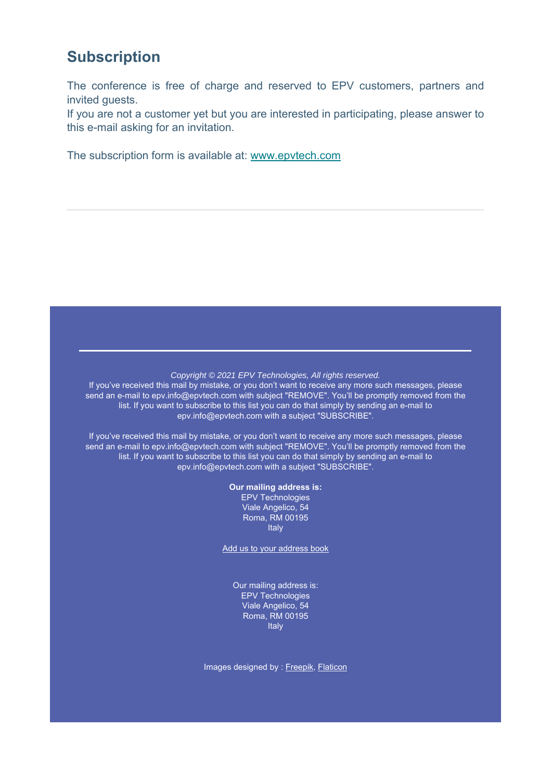### **Subscription**

The conference is free of charge and reserved to EPV customers, partners and invited guests.

If you are not a customer yet but you are interested in participating, please answer to this e-mail asking for an invitation.

The subscription form is available at: www.epvtech.com

#### *Copyright © 2021 EPV Technologies, All rights reserved.*

If you've received this mail by mistake, or you don't want to receive any more such messages, please send an e-mail to epv.info@epvtech.com with subject "REMOVE". You'll be promptly removed from the list. If you want to subscribe to this list you can do that simply by sending an e-mail to epv.info@epvtech.com with a subject "SUBSCRIBE".

If you've received this mail by mistake, or you don't want to receive any more such messages, please send an e-mail to epv.info@epvtech.com with subject "REMOVE". You'll be promptly removed from the list. If you want to subscribe to this list you can do that simply by sending an e-mail to epv.info@epvtech.com with a subject "SUBSCRIBE".

**Our mailing address is:**

EPV Technologies Viale Angelico, 54 Roma, RM 00195 **Italy** 

Add us to your address book

Our mailing address is: EPV Technologies Viale Angelico, 54 Roma, RM 00195 Italy

Images designed by : Freepik, Flaticon